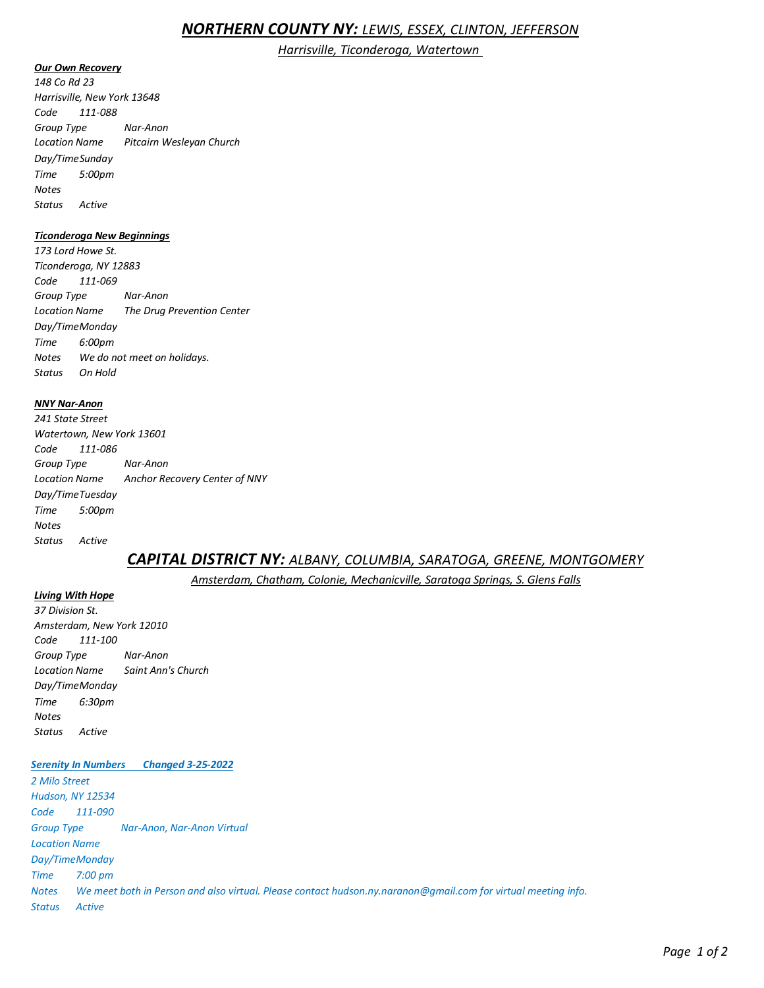# *NORTHERN COUNTY NY: LEWIS, ESSEX, CLINTON, JEFFERSON*

*Harrisville, Ticonderoga, Watertown* 

#### *Our Own Recovery*

*148 Co Rd 23 Harrisville, New York 13648 Code 111-088 Group Type Nar-Anon Location Name Pitcairn Wesleyan Church Day/TimeSunday Time 5:00pm Notes Status Active* 

#### *Ticonderoga New Beginnings*

*173 Lord Howe St. Ticonderoga, NY 12883 Code 111-069 Group Type Nar-Anon Location Name The Drug Prevention Center Day/TimeMonday Time 6:00pm Notes We do not meet on holidays. Status On Hold* 

#### *NNY Nar-Anon*

*241 State Street Watertown, New York 13601 Code 111-086 Group Type Nar-Anon Location Name Anchor Recovery Center of NNY Day/TimeTuesday Time 5:00pm Notes Status Active* 

# *CAPITAL DISTRICT NY: ALBANY, COLUMBIA, SARATOGA, GREENE, MONTGOMERY*

*Amsterdam, Chatham, Colonie, Mechanicville, Saratoga Springs, S. Glens Falls* 

*Living With Hope 37 Division St. Amsterdam, New York 12010 Code 111-100 Group Type Nar-Anon Location Name Saint Ann's Church Day/TimeMonday Time 6:30pm Notes Status Active* 

# *Serenity In Numbers Changed 3-25-2022*

*2 Milo Street Hudson, NY 12534 Code 111-090 Group Type Nar-Anon, Nar-Anon Virtual Location Name Day/TimeMonday Time 7:00 pm Notes We meet both in Person and also virtual. Please contact hudson.ny.naranon@gmail.com for virtual meeting info. Status Active*